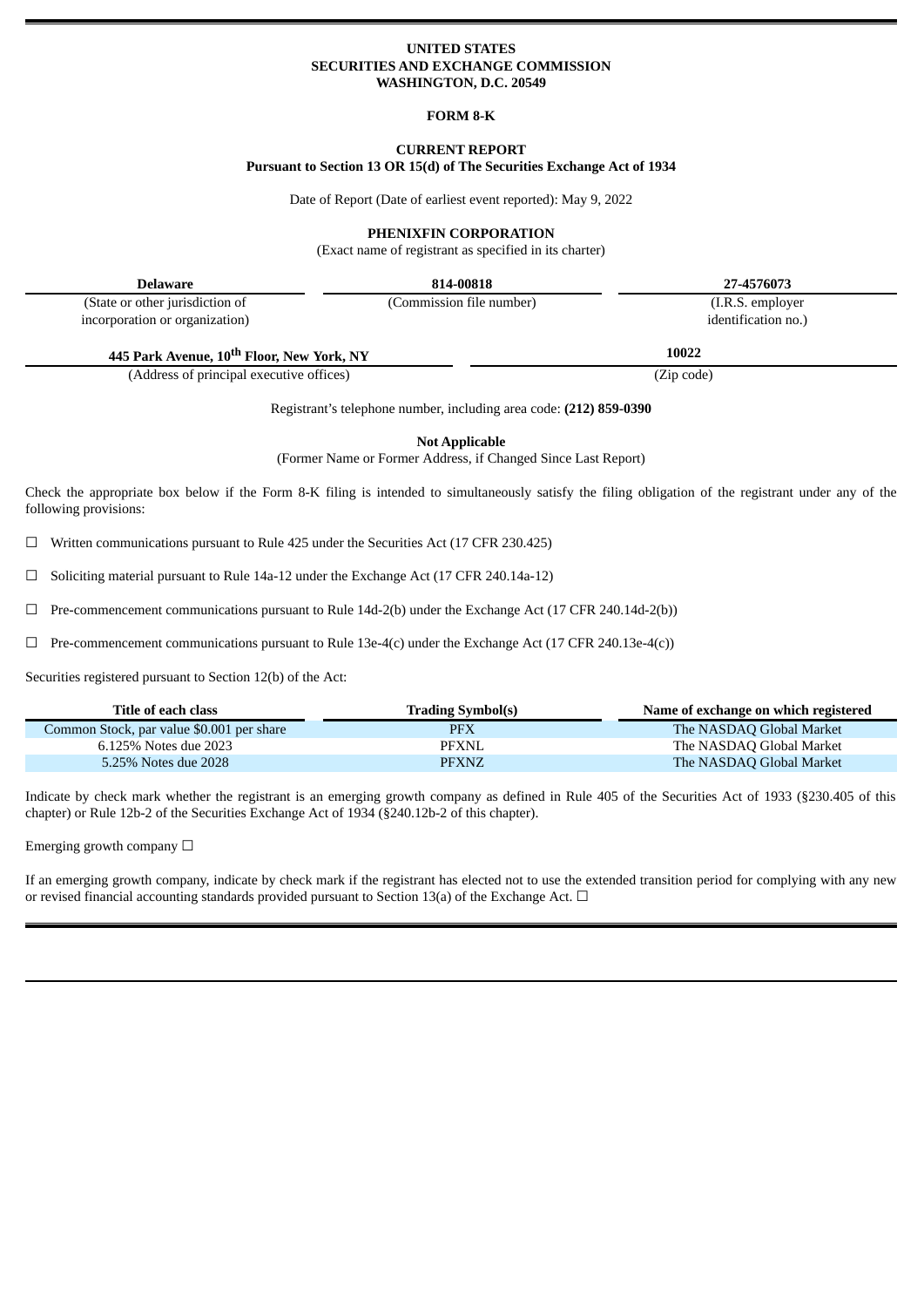### **UNITED STATES SECURITIES AND EXCHANGE COMMISSION WASHINGTON, D.C. 20549**

#### **FORM 8-K**

### **CURRENT REPORT**

**Pursuant to Section 13 OR 15(d) of The Securities Exchange Act of 1934**

Date of Report (Date of earliest event reported): May 9, 2022

#### **PHENIXFIN CORPORATION**

(Exact name of registrant as specified in its charter)

**Delaware 814-00818 27-4576073**

(State or other jurisdiction of incorporation or organization)

(Commission file number) (I.R.S. employer identification no.)

**445 Park Avenue, 10 th Floor, New York, NY 10022**

(Address of principal executive offices) (Zip code)

Registrant's telephone number, including area code: **(212) 859-0390**

**Not Applicable**

(Former Name or Former Address, if Changed Since Last Report)

Check the appropriate box below if the Form 8-K filing is intended to simultaneously satisfy the filing obligation of the registrant under any of the following provisions:

☐ Written communications pursuant to Rule 425 under the Securities Act (17 CFR 230.425)

 $\Box$  Soliciting material pursuant to Rule 14a-12 under the Exchange Act (17 CFR 240.14a-12)

 $\Box$  Pre-commencement communications pursuant to Rule 14d-2(b) under the Exchange Act (17 CFR 240.14d-2(b))

 $\Box$  Pre-commencement communications pursuant to Rule 13e-4(c) under the Exchange Act (17 CFR 240.13e-4(c))

Securities registered pursuant to Section 12(b) of the Act:

| Title of each class                       | <b>Trading Symbol(s)</b> | Name of exchange on which registered |
|-------------------------------------------|--------------------------|--------------------------------------|
| Common Stock, par value \$0.001 per share | PFX                      | The NASDAQ Global Market             |
| 6.125% Notes due 2023                     | <b>PFXNL</b>             | The NASDAQ Global Market             |
| 5.25% Notes due 2028                      | <b>PFXNZ</b>             | The NASDAQ Global Market             |

Indicate by check mark whether the registrant is an emerging growth company as defined in Rule 405 of the Securities Act of 1933 (§230.405 of this chapter) or Rule 12b-2 of the Securities Exchange Act of 1934 (§240.12b-2 of this chapter).

Emerging growth company  $\Box$ 

If an emerging growth company, indicate by check mark if the registrant has elected not to use the extended transition period for complying with any new or revised financial accounting standards provided pursuant to Section 13(a) of the Exchange Act.  $\Box$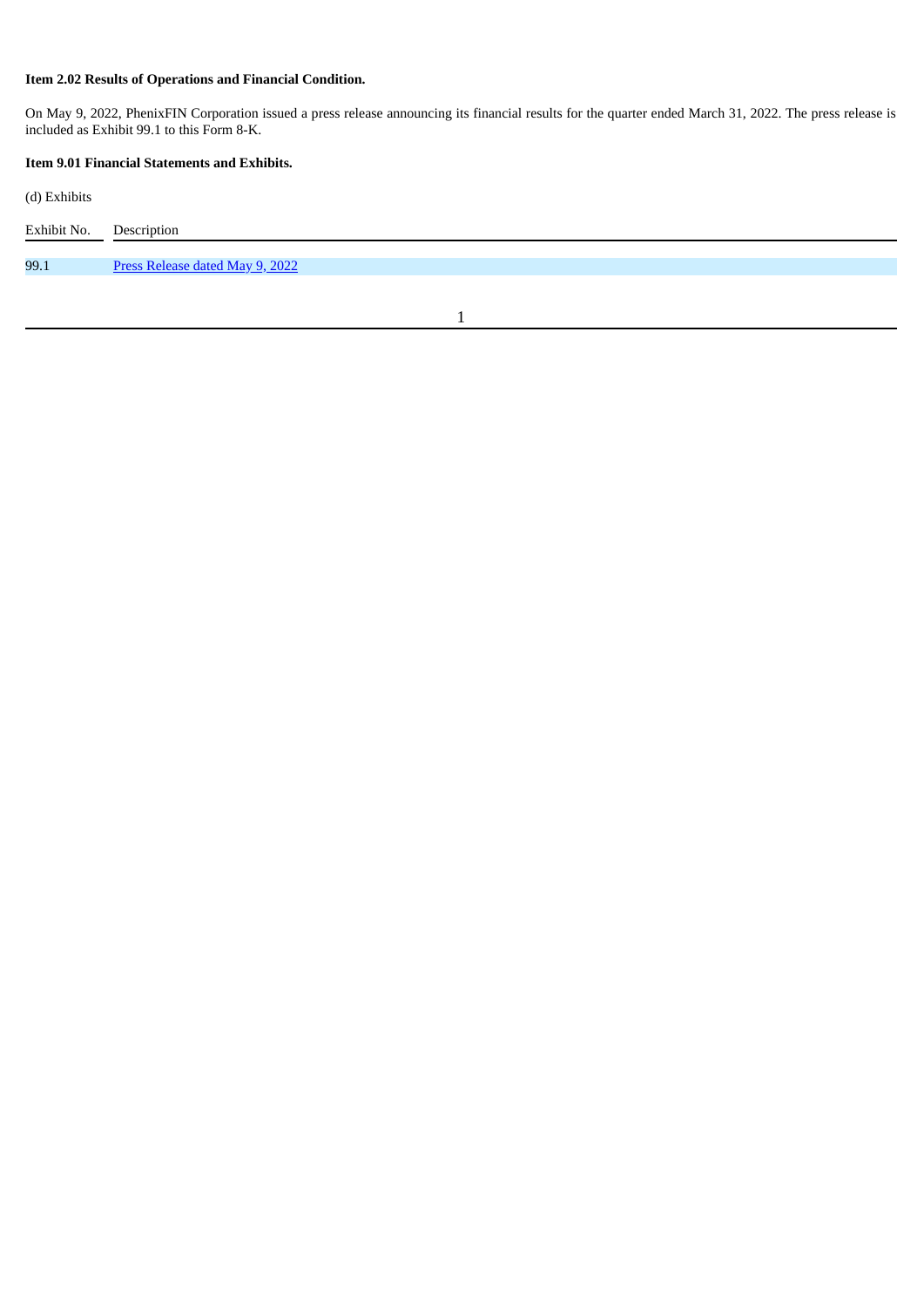## **Item 2.02 Results of Operations and Financial Condition.**

On May 9, 2022, PhenixFIN Corporation issued a press release announcing its financial results for the quarter ended March 31, 2022. The press release is included as Exhibit 99.1 to this Form 8-K.

## **Item 9.01 Financial Statements and Exhibits.**

(d) Exhibits

| Exhibit No. | Description                     |
|-------------|---------------------------------|
| 99.1        | Press Release dated May 9, 2022 |

1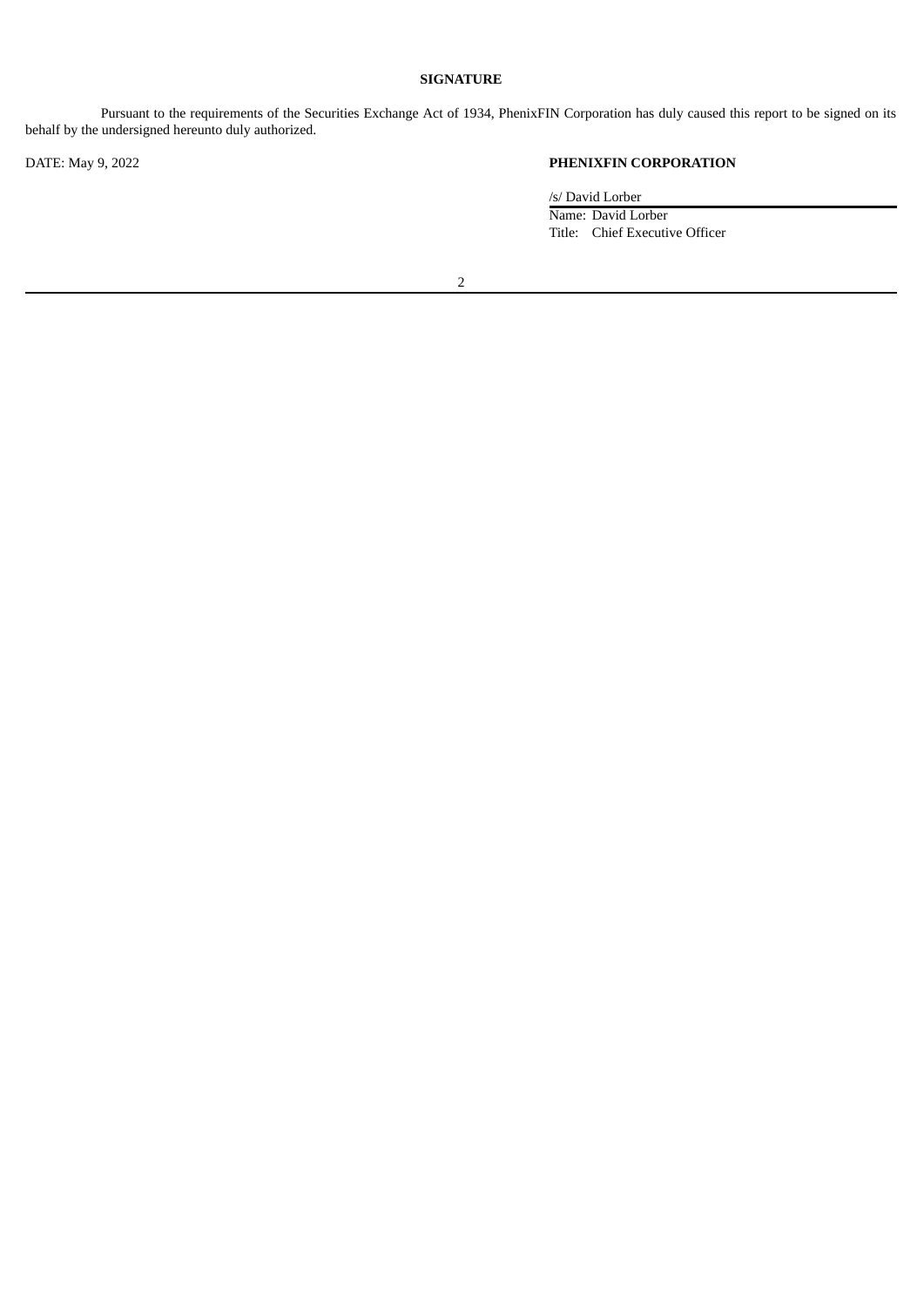### **SIGNATURE**

Pursuant to the requirements of the Securities Exchange Act of 1934, PhenixFIN Corporation has duly caused this report to be signed on its behalf by the undersigned hereunto duly authorized.

# DATE: May 9, 2022 **PHENIXFIN CORPORATION**

/s/ David Lorber Name: David Lorber Title: Chief Executive Officer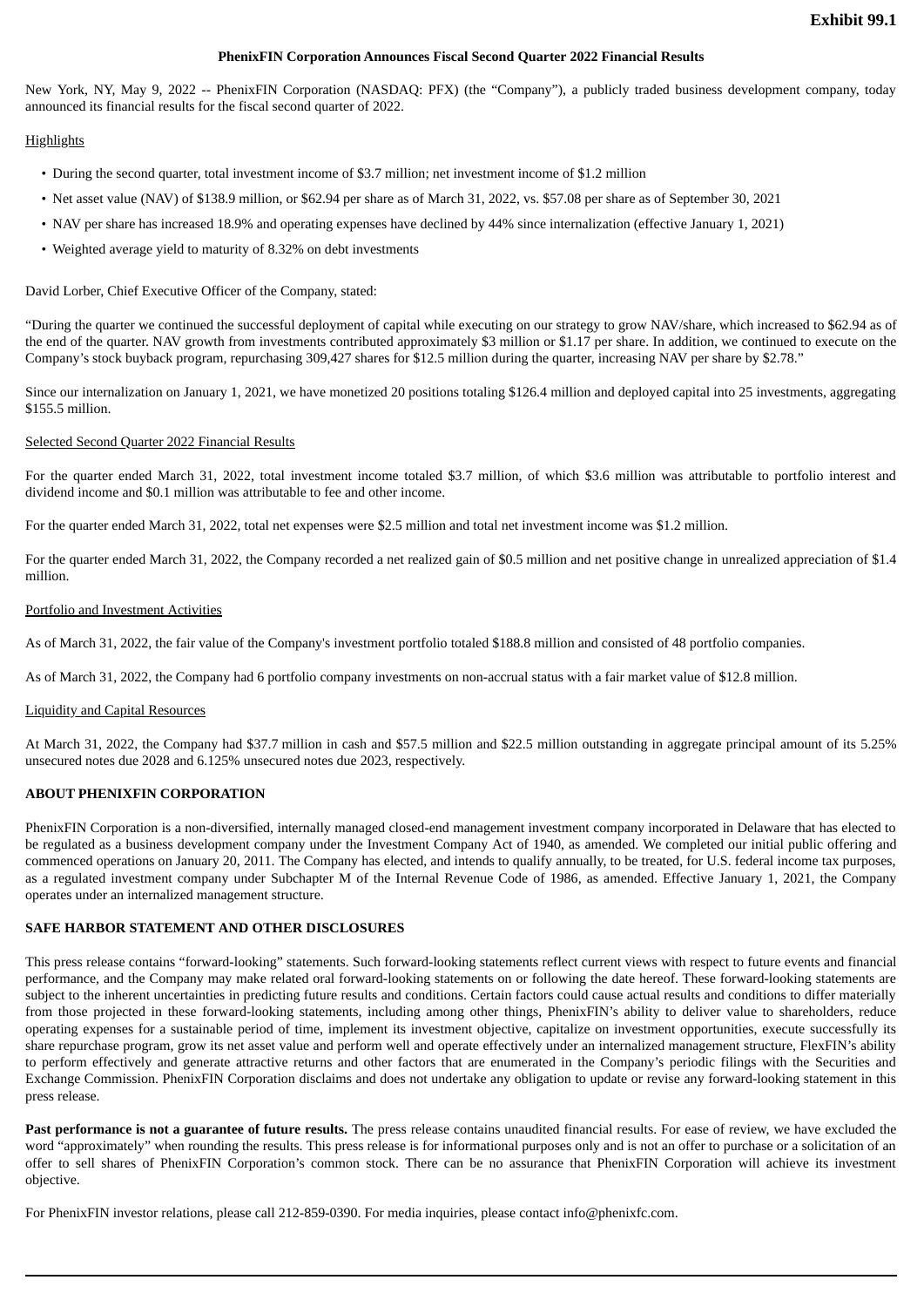#### **PhenixFIN Corporation Announces Fiscal Second Quarter 2022 Financial Results**

<span id="page-3-0"></span>New York, NY, May 9, 2022 -- PhenixFIN Corporation (NASDAQ: PFX) (the "Company"), a publicly traded business development company, today announced its financial results for the fiscal second quarter of 2022.

### **Highlights**

- During the second quarter, total investment income of \$3.7 million; net investment income of \$1.2 million
- Net asset value (NAV) of \$138.9 million, or \$62.94 per share as of March 31, 2022, vs. \$57.08 per share as of September 30, 2021
- NAV per share has increased 18.9% and operating expenses have declined by 44% since internalization (effective January 1, 2021)
- Weighted average yield to maturity of 8.32% on debt investments

David Lorber, Chief Executive Officer of the Company, stated:

"During the quarter we continued the successful deployment of capital while executing on our strategy to grow NAV/share, which increased to \$62.94 as of the end of the quarter. NAV growth from investments contributed approximately \$3 million or \$1.17 per share. In addition, we continued to execute on the Company's stock buyback program, repurchasing 309,427 shares for \$12.5 million during the quarter, increasing NAV per share by \$2.78."

Since our internalization on January 1, 2021, we have monetized 20 positions totaling \$126.4 million and deployed capital into 25 investments, aggregating \$155.5 million.

### Selected Second Quarter 2022 Financial Results

For the quarter ended March 31, 2022, total investment income totaled \$3.7 million, of which \$3.6 million was attributable to portfolio interest and dividend income and \$0.1 million was attributable to fee and other income.

For the quarter ended March 31, 2022, total net expenses were \$2.5 million and total net investment income was \$1.2 million.

For the quarter ended March 31, 2022, the Company recorded a net realized gain of \$0.5 million and net positive change in unrealized appreciation of \$1.4 million.

#### Portfolio and Investment Activities

As of March 31, 2022, the fair value of the Company's investment portfolio totaled \$188.8 million and consisted of 48 portfolio companies.

As of March 31, 2022, the Company had 6 portfolio company investments on non-accrual status with a fair market value of \$12.8 million.

#### Liquidity and Capital Resources

At March 31, 2022, the Company had \$37.7 million in cash and \$57.5 million and \$22.5 million outstanding in aggregate principal amount of its 5.25% unsecured notes due 2028 and 6.125% unsecured notes due 2023, respectively.

### **ABOUT PHENIXFIN CORPORATION**

PhenixFIN Corporation is a non-diversified, internally managed closed-end management investment company incorporated in Delaware that has elected to be regulated as a business development company under the Investment Company Act of 1940, as amended. We completed our initial public offering and commenced operations on January 20, 2011. The Company has elected, and intends to qualify annually, to be treated, for U.S. federal income tax purposes, as a regulated investment company under Subchapter M of the Internal Revenue Code of 1986, as amended. Effective January 1, 2021, the Company operates under an internalized management structure.

### **SAFE HARBOR STATEMENT AND OTHER DISCLOSURES**

This press release contains "forward-looking" statements. Such forward-looking statements reflect current views with respect to future events and financial performance, and the Company may make related oral forward-looking statements on or following the date hereof. These forward-looking statements are subject to the inherent uncertainties in predicting future results and conditions. Certain factors could cause actual results and conditions to differ materially from those projected in these forward-looking statements, including among other things, PhenixFIN's ability to deliver value to shareholders, reduce operating expenses for a sustainable period of time, implement its investment objective, capitalize on investment opportunities, execute successfully its share repurchase program, grow its net asset value and perform well and operate effectively under an internalized management structure, FlexFIN's ability to perform effectively and generate attractive returns and other factors that are enumerated in the Company's periodic filings with the Securities and Exchange Commission. PhenixFIN Corporation disclaims and does not undertake any obligation to update or revise any forward-looking statement in this press release.

**Past performance is not a guarantee of future results.** The press release contains unaudited financial results. For ease of review, we have excluded the word "approximately" when rounding the results. This press release is for informational purposes only and is not an offer to purchase or a solicitation of an offer to sell shares of PhenixFIN Corporation's common stock. There can be no assurance that PhenixFIN Corporation will achieve its investment objective.

For PhenixFIN investor relations, please call 212-859-0390. For media inquiries, please contact info@phenixfc.com.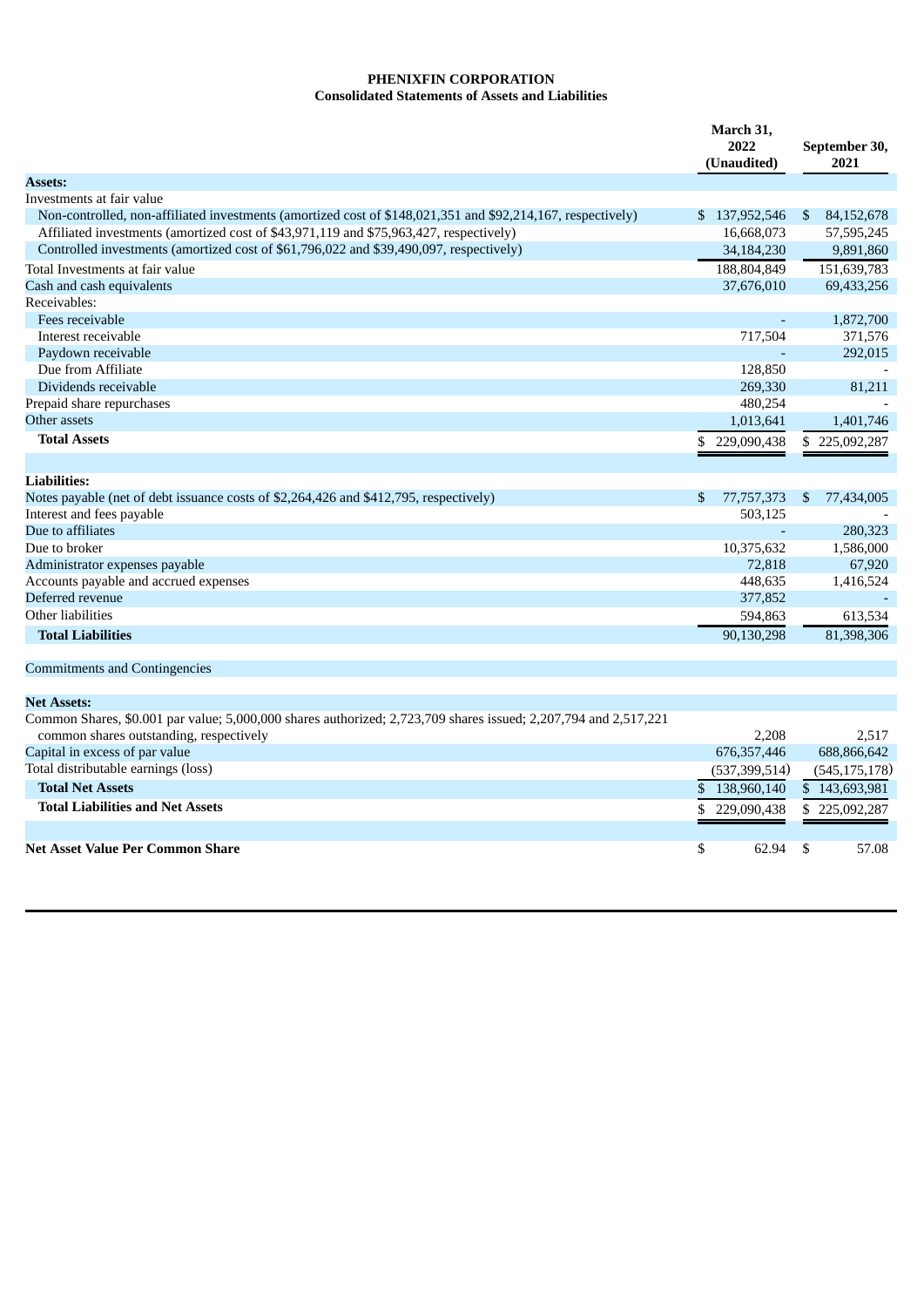## **PHENIXFIN CORPORATION**

# **Consolidated Statements of Assets and Liabilities**

|                                                                                                                                                            |    | March 31,<br>2022<br>(Unaudited) |     | September 30,<br>2021 |  |  |
|------------------------------------------------------------------------------------------------------------------------------------------------------------|----|----------------------------------|-----|-----------------------|--|--|
| <b>Assets:</b>                                                                                                                                             |    |                                  |     |                       |  |  |
| Investments at fair value                                                                                                                                  |    |                                  |     |                       |  |  |
| Non-controlled, non-affiliated investments (amortized cost of \$148,021,351 and \$92,214,167, respectively)                                                |    | \$137,952,546                    | \$  | 84,152,678            |  |  |
| Affiliated investments (amortized cost of \$43,971,119 and \$75,963,427, respectively)                                                                     |    | 16,668,073                       |     | 57,595,245            |  |  |
| Controlled investments (amortized cost of \$61,796,022 and \$39,490,097, respectively)                                                                     |    | 34,184,230                       |     | 9,891,860             |  |  |
| Total Investments at fair value                                                                                                                            |    | 188,804,849                      |     | 151,639,783           |  |  |
| Cash and cash equivalents                                                                                                                                  |    | 37,676,010                       |     | 69,433,256            |  |  |
| Receivables:                                                                                                                                               |    |                                  |     |                       |  |  |
| Fees receivable                                                                                                                                            |    | $\blacksquare$                   |     | 1,872,700             |  |  |
| Interest receivable                                                                                                                                        |    | 717,504                          |     | 371,576               |  |  |
| Paydown receivable                                                                                                                                         |    |                                  |     | 292,015               |  |  |
| Due from Affiliate                                                                                                                                         |    | 128,850                          |     |                       |  |  |
| Dividends receivable                                                                                                                                       |    | 269,330                          |     | 81,211                |  |  |
| Prepaid share repurchases                                                                                                                                  |    | 480,254                          |     |                       |  |  |
| Other assets                                                                                                                                               |    | 1,013,641                        |     | 1,401,746             |  |  |
| <b>Total Assets</b>                                                                                                                                        |    | \$229,090,438                    |     | \$225,092,287         |  |  |
| <b>Liabilities:</b>                                                                                                                                        |    |                                  |     |                       |  |  |
| Notes payable (net of debt issuance costs of \$2,264,426 and \$412,795, respectively)                                                                      | \$ | 77,757,373                       | \$  | 77,434,005            |  |  |
| Interest and fees payable                                                                                                                                  |    | 503,125                          |     |                       |  |  |
| Due to affiliates                                                                                                                                          |    |                                  |     | 280,323               |  |  |
| Due to broker                                                                                                                                              |    | 10,375,632                       |     | 1,586,000             |  |  |
| Administrator expenses payable                                                                                                                             |    | 72,818                           |     | 67,920                |  |  |
| Accounts payable and accrued expenses                                                                                                                      |    | 448,635                          |     | 1,416,524             |  |  |
| Deferred revenue                                                                                                                                           |    | 377,852                          |     |                       |  |  |
| Other liabilities                                                                                                                                          |    | 594,863                          |     | 613,534               |  |  |
| <b>Total Liabilities</b>                                                                                                                                   |    | 90,130,298                       |     | 81,398,306            |  |  |
| <b>Commitments and Contingencies</b>                                                                                                                       |    |                                  |     |                       |  |  |
| <b>Net Assets:</b>                                                                                                                                         |    |                                  |     |                       |  |  |
| Common Shares, \$0.001 par value; 5,000,000 shares authorized; 2,723,709 shares issued; 2,207,794 and 2,517,221<br>common shares outstanding, respectively |    | 2,208                            |     | 2,517                 |  |  |
| Capital in excess of par value                                                                                                                             |    | 676, 357, 446                    |     | 688,866,642           |  |  |
| Total distributable earnings (loss)                                                                                                                        |    | (537, 399, 514)                  |     | (545, 175, 178)       |  |  |
| <b>Total Net Assets</b>                                                                                                                                    |    |                                  |     |                       |  |  |
|                                                                                                                                                            | \$ | 138,960,140                      |     | \$143,693,981         |  |  |
| <b>Total Liabilities and Net Assets</b>                                                                                                                    | \$ | 229,090,438                      | \$. | 225,092,287           |  |  |
| Net Asset Value Per Common Share                                                                                                                           | \$ | 62.94                            | \$  | 57.08                 |  |  |